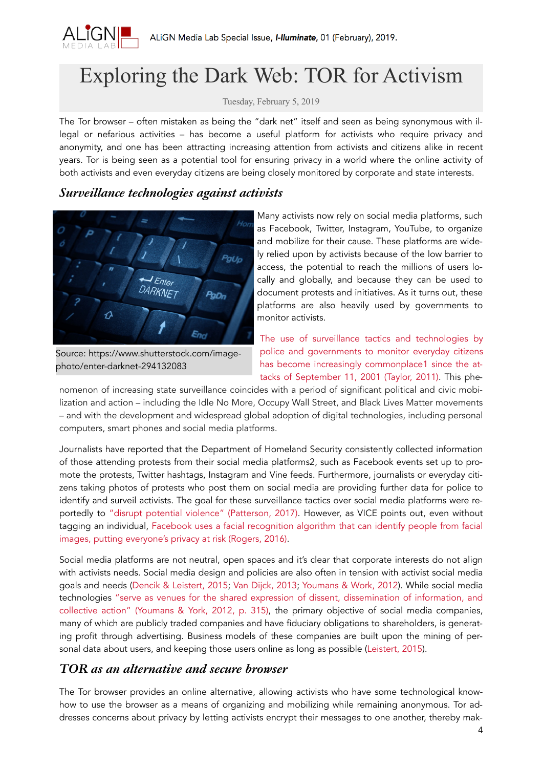

# Exploring the Dark Web: TOR for Activism

Tuesday, February 5, 2019

The Tor browser – often mistaken as being the "dark net" itself and seen as being synonymous with illegal or nefarious activities – has become a useful platform for activists who require privacy and anonymity, and one has been attracting increasing attention from activists and citizens alike in recent years. Tor is being seen as a potential tool for ensuring privacy in a world where the online activity of both activists and even everyday citizens are being closely monitored by corporate and state interests.

#### *Surveillance technologies against activists*



ly relied upon by activists because of the low barrier to access, the potential to reach the millions of users locally and globally, and because they can be used to document protests and initiatives. As it turns out, these platforms are also heavily used by governments to monitor activists.

[Source: https://www.shutterstock.com/image](https://www.shutterstock.com/image-photo/enter-darknet-294132083)[photo/enter-darknet-294132083](https://www.shutterstock.com/image-photo/enter-darknet-294132083)

[The use of surveillance tactics and technologies by](https://www.theatlantic.com/photo/2011/09/911-the-day-of-the-attacks/100143/)  police and governments to monitor everyday citizens [has become increasingly commonplace1](https://www.theatlantic.com/photo/2011/09/911-the-day-of-the-attacks/100143/) since the at[tacks of September](https://www.theatlantic.com/photo/2011/09/911-the-day-of-the-attacks/100143/) 11, 2001 (Taylor, 2011). This phe-

nomenon of increasing state surveillance coincides with a period of significant political and civic mobilization and action – including the Idle No More, Occupy Wall Street, and Black Lives Matter movements – and with the development and widespread global adoption of digital technologies, including personal computers, smart phones and social media platforms.

Journalists have reported that the Department of Homeland Security consistently collected information of those attending protests from their social media platforms2, such as Facebook events set up to promote the protests, Twitter hashtags, Instagram and Vine feeds. Furthermore, journalists or everyday citizens taking photos of protests who post them on social media are providing further data for police to identify and surveil activists. The goal for these surveillance tactics over social media platforms were reportedly to ["disrupt potential violence" \(Patterson, 2017\).](https://www.motherjones.com/crime-justice/2017/10/police-spied-on-new-york-black-lives-matter-group-internal-police-documents-show/) However, as VICE points out, even without tagging an individual, Facebook uses a facial recognition algorithm [that can identify people from facial](https://motherboard.vice.com/en_us/article/kb78de/that-time-the-super-bowl-secretly-used-facial-recognition-software-on-fans)  [images, putting everyone's privacy at risk \(Rogers, 2016\).](https://motherboard.vice.com/en_us/article/kb78de/that-time-the-super-bowl-secretly-used-facial-recognition-software-on-fans)

Social media platforms are not neutral, open spaces and it's clear that corporate interests do not align with activists needs. Social media design and policies are also often in tension with activist social media goals and needs (Dencik & [Leistert, 2015](https://www.rowmaninternational.com/book/critical_perspectives_on_social_media_and_protest/3-156-3a5cf693-85a6-4840-9563-310348d31b89); Van [Dijck, 2013;](https://books.google.ca/books?id=A6BqrWGIaFIC&printsec=frontcover&source=gbs_ge_summary_r&cad=0#v=onepage&q&f=false) [Youmans & Work, 2012\)](https://deepblue.lib.umich.edu/bitstream/handle/2027.42/91171/j.1460-2466.2012.01636.x.pdf?sequence=1&isAllowed=y). While social media technologies ["serve as venues for the shared expression of dissent, dissemination of information, and](https://deepblue.lib.umich.edu/bitstream/handle/2027.42/91171/j.1460-2466.2012.01636.x.pdf?sequence=1&isAllowed=y)  [collective action" \(Youmans & York, 2012, p. 315\),](https://deepblue.lib.umich.edu/bitstream/handle/2027.42/91171/j.1460-2466.2012.01636.x.pdf?sequence=1&isAllowed=y) the primary objective of social media companies, many of which are publicly traded companies and have fiduciary obligations to shareholders, is generating profit through advertising. Business models of these companies are built upon the mining of personal data about users, and keeping those users online as long as possible ([Leistert, 2015](https://www.rowmaninternational.com/book/critical_perspectives_on_social_media_and_protest/3-156-3a5cf693-85a6-4840-9563-310348d31b89)).

## *TOR as an alternative and secure browser*

The Tor browser provides an online alternative, allowing activists who have some technological knowhow to use the browser as a means of organizing and mobilizing while remaining anonymous. Tor addresses concerns about privacy by letting activists encrypt their messages to one another, thereby mak-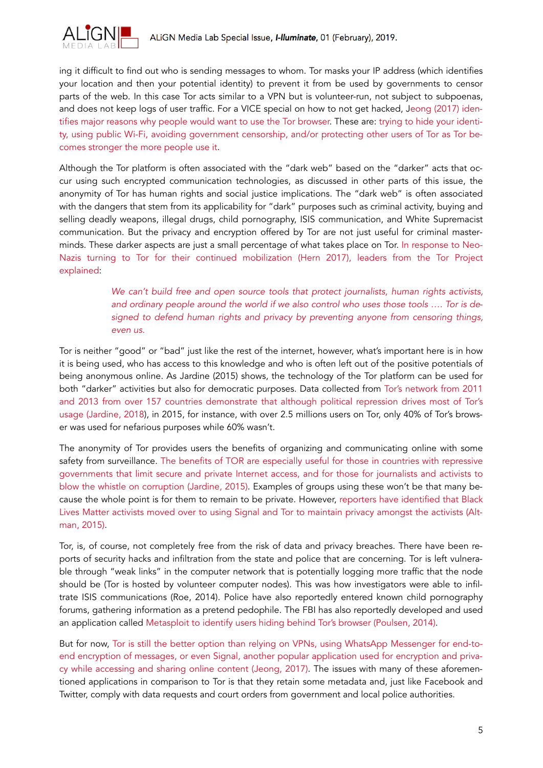

ing it difficult to find out who is sending messages to whom. Tor masks your IP address (which identifies your location and then your potential identity) to prevent it from be used by governments to censor parts of the web. In this case Tor acts similar to a VPN but is volunteer-run, not subject to subpoenas, and does not keep logs of user traffic. For a VICE special on how to not get hacked, Jeong [\(2017\)](https://motherboard.vice.com/en_us/article/a37m4g/the-motherboard-guide-to-avoiding-state-surveillance-privacy-guide) iden[tifies major reasons why people would want to use the Tor browser.](https://motherboard.vice.com/en_us/article/a37m4g/the-motherboard-guide-to-avoiding-state-surveillance-privacy-guide) These are: [trying to hide your identi](https://motherboard.vice.com/en_us/article/a37m4g/the-motherboard-guide-to-avoiding-state-surveillance-privacy-guide)[ty, using public Wi-Fi, avoiding government censorship, and/or protecting other users of Tor as Tor be](https://motherboard.vice.com/en_us/article/a37m4g/the-motherboard-guide-to-avoiding-state-surveillance-privacy-guide)[comes stronger the more people use it.](https://motherboard.vice.com/en_us/article/a37m4g/the-motherboard-guide-to-avoiding-state-surveillance-privacy-guide)

Although the Tor platform is often associated with the "dark web" based on the "darker" acts that occur using such encrypted communication technologies, as discussed in other parts of this issue, the anonymity of Tor has human rights and social justice implications. The "dark web" is often associated with the dangers that stem from its applicability for "dark" purposes such as criminal activity, buying and selling deadly weapons, illegal drugs, child pornography, ISIS communication, and White Supremacist communication. But the privacy and encryption offered by Tor are not just useful for criminal masterminds. These darker aspects are just a small percentage of what takes place on Tor. In [response to](https://www.theguardian.com/technology/2017/aug/23/dark-web-neo-nazis-tor-dissidents-white-supremacists-criminals-paedophile-rings) Neo-[Nazis turning to Tor for their continued mobilization \(Hern 2017\), leaders](https://www.theguardian.com/technology/2017/aug/23/dark-web-neo-nazis-tor-dissidents-white-supremacists-criminals-paedophile-rings) from the Tor Project [explained:](https://www.theguardian.com/technology/2017/aug/23/dark-web-neo-nazis-tor-dissidents-white-supremacists-criminals-paedophile-rings)

> *[We can't build free and open source tools that protect journalists, human rights activists,](https://www.theguardian.com/technology/2017/aug/23/dark-web-neo-nazis-tor-dissidents-white-supremacists-criminals-paedophile-rings)  [and ordinary people around the world if we also control who uses those tools ….](https://www.theguardian.com/technology/2017/aug/23/dark-web-neo-nazis-tor-dissidents-white-supremacists-criminals-paedophile-rings) Tor is de[signed to defend human rights and privacy by preventing anyone from censoring things,](https://www.theguardian.com/technology/2017/aug/23/dark-web-neo-nazis-tor-dissidents-white-supremacists-criminals-paedophile-rings)  [even us.](https://www.theguardian.com/technology/2017/aug/23/dark-web-neo-nazis-tor-dissidents-white-supremacists-criminals-paedophile-rings)*

Tor is neither "good" or "bad" just like the rest of the internet, however, what's important here is in how it is being used, who has access to this knowledge and who is often left out of the positive potentials of being anonymous online. As Jardine (2015) shows, the technology of the Tor platform can be used for both "darker" activities but also for democratic purposes. Data collected from [Tor's network from 2011](https://journals.sagepub.com/doi/pdf/10.1177/1461444816639976)  [and 2013 from over 157 countries demonstrate that although political repression drives most of Tor's](https://journals.sagepub.com/doi/pdf/10.1177/1461444816639976)  [usage \(Jardine, 2018](https://journals.sagepub.com/doi/pdf/10.1177/1461444816639976)), in 2015, for instance, with over 2.5 millions users on Tor, only 40% of Tor's browser was used for nefarious purposes while 60% wasn't.

The anonymity of Tor provides users the benefits of organizing and communicating online with some safety from surveillance. [The benefits of TOR are especially useful for those in countries with repressive](https://journals.sagepub.com/doi/pdf/10.1177/1461444816639976)  [governments that limit secure and private Internet access, and for those for journalists and activists to](https://journals.sagepub.com/doi/pdf/10.1177/1461444816639976)  [blow the whistle on corruption \(Jardine, 2015\).](https://journals.sagepub.com/doi/pdf/10.1177/1461444816639976) Examples of groups using these won't be that many be[cause the whole point is for them to remain to be private. However,](http://time.com/time-person-of-the-year-2015-runner-up-black-lives-matter/) [reporters have identified that Black](http://time.com/time-person-of-the-year-2015-runner-up-black-lives-matter/)  Lives Matter activists moved over to using Signal and Tor [to maintain privacy amongst the activists \(Alt](http://time.com/time-person-of-the-year-2015-runner-up-black-lives-matter/)[man, 2015\).](http://time.com/time-person-of-the-year-2015-runner-up-black-lives-matter/)

Tor, is, of course, not completely free from the risk of data and privacy breaches. There have been reports of security hacks and infiltration from the state and police that are concerning. Tor is left vulnerable through "weak links" in the computer network that is potentially logging more traffic that the node should be (Tor is hosted by volunteer computer nodes). This was how investigators were able to infiltrate ISIS communications (Roe, 2014). Police have also reportedly entered known child pornography forums, gathering information as a pretend pedophile. The FBI has also reportedly developed and used an application called Metasploit [to identify users hiding behind Tor's browser \(Poulsen, 2014\).](https://www.wired.com/2014/12/fbi-metasploit-tor/)

But for now, [Tor is still the better option](https://motherboard.vice.com/en_us/article/a37m4g/the-motherboard-guide-to-avoiding-state-surveillance-privacy-guide) than relying on VPNs, using WhatsApp Messenger for end-toend encryption of messages, or even [Signal, another popular application used for encryption and priva](https://motherboard.vice.com/en_us/article/a37m4g/the-motherboard-guide-to-avoiding-state-surveillance-privacy-guide)[cy while accessing and sharing online content \(Jeong, 2017\).](https://motherboard.vice.com/en_us/article/a37m4g/the-motherboard-guide-to-avoiding-state-surveillance-privacy-guide) The issues with many of these aforementioned applications in comparison to Tor is that they retain some metadata and, just like Facebook and Twitter, comply with data requests and court orders from government and local police authorities.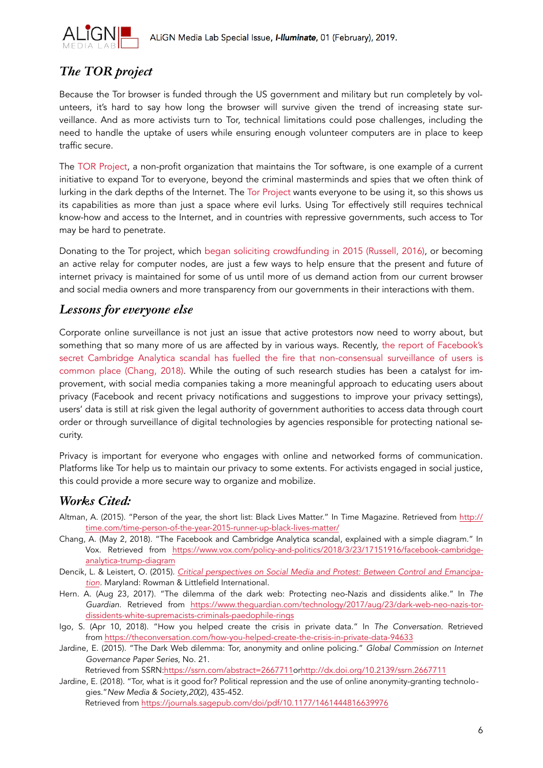

# *The TOR project*

Because the Tor browser is funded through the US government and military but run completely by volunteers, it's hard to say how long the browser will survive given the trend of increasing state surveillance. And as more activists turn to Tor, technical limitations could pose challenges, including the need to handle the uptake of users while ensuring enough volunteer computers are in place to keep traffic secure.

The [TOR Project,](https://www.torproject.org/) a non-profit organization that maintains the Tor software, is one example of a current initiative to expand Tor to everyone, beyond the criminal masterminds and spies that we often think of lurking in the dark depths of the Internet. The [Tor Project](https://www.torproject.org/) wants everyone to be using it, so this shows us its capabilities as more than just a space where evil lurks. Using Tor effectively still requires technical know-how and access to the Internet, and in countries with repressive governments, such access to Tor may be hard to penetrate.

Donating to the Tor project, which began [soliciting crowdfunding in](https://techcrunch.com/2015/11/24/tor-turns-to-crowdfunding-to-lessen-its-dependence-on-government-money/) 2015 (Russell, 2016), or becoming an active relay for computer nodes, are just a few ways to help ensure that the present and future of internet privacy is maintained for some of us until more of us demand action from our current browser and social media owners and more transparency from our governments in their interactions with them.

#### *Lessons for everyone else*

Corporate online surveillance is not just an issue that active protestors now need to worry about, but something that so many more of us are affected by in various ways. Recently, [the report of Facebook's](https://www.vox.com/policy-and-politics/2018/3/23/17151916/facebook-cambridge-analytica-trump-diagram)  secret Cambridge Analytica scandal [has fuelled the fire that non-consensual surveillance of users is](https://www.vox.com/policy-and-politics/2018/3/23/17151916/facebook-cambridge-analytica-trump-diagram)  [common place \(Chang, 2018\)](https://www.vox.com/policy-and-politics/2018/3/23/17151916/facebook-cambridge-analytica-trump-diagram). While the outing of such research studies has been a catalyst for improvement, with social media companies taking a more meaningful approach to educating users about privacy (Facebook and recent privacy notifications and suggestions to improve your privacy settings), users' data is still at risk given the legal authority of government authorities to access data through court order or through surveillance of digital technologies by agencies responsible for protecting national security.

Privacy is important for everyone who engages with online and networked forms of communication. Platforms like Tor help us to maintain our privacy to some extents. For activists engaged in social justice, this could provide a more secure way to organize and mobilize.

## *Works Cited:*

- Altman, A. (2015). "Person of the year, the short list: Black Lives Matter." In Time Magazine. Retrieved from [http://](http://time.com/time-person-of-the-year-2015-runner-up-black-lives-matter/) [time.com/time-person-of-the-year-2015-runner-up-black-lives-matter/](http://time.com/time-person-of-the-year-2015-runner-up-black-lives-matter/)
- Chang, A. (May 2, 2018). "The Facebook and Cambridge Analytica scandal, explained with a simple diagram." In Vox. Retrieved from [https://www.vox.com/policy-and-politics/2018/3/23/17151916/facebook-cambridge](https://www.vox.com/policy-and-politics/2018/3/23/17151916/facebook-cambridge-analytica-trump-diagram)[analytica-trump-diagram](https://www.vox.com/policy-and-politics/2018/3/23/17151916/facebook-cambridge-analytica-trump-diagram)
- Dencik, L. & Leistert, O. (2015). *[Critical perspectives on Social Media and Protest: Between Control and Emancipa](https://www.rowmaninternational.com/book/critical_perspectives_on_social_media_and_protest/3-156-3a5cf693-85a6-4840-9563-310348d31b89)[tion](https://www.rowmaninternational.com/book/critical_perspectives_on_social_media_and_protest/3-156-3a5cf693-85a6-4840-9563-310348d31b89).* Maryland: Rowman & Littlefield International.
- Hern. A. (Aug 23, 2017). "The dilemma of the dark web: Protecting neo-Nazis and dissidents alike." In *The Guardian*. Retrieved from [https://www.theguardian.com/technology/2017/aug/23/dark-web-neo-nazis-tor](https://www.theguardian.com/technology/2017/aug/23/dark-web-neo-nazis-tor-dissidents-white-supremacists-criminals-paedophile-rings)[dissidents-white-supremacists-criminals-paedophile-rings](https://www.theguardian.com/technology/2017/aug/23/dark-web-neo-nazis-tor-dissidents-white-supremacists-criminals-paedophile-rings)
- Igo, S. (Apr 10, 2018). "How you helped create the crisis in private data." In *The Conversation*. Retrieved from <https://theconversation.com/how-you-helped-create-the-crisis-in-private-data-94633>
- Jardine, E. (2015). "The Dark Web dilemma: Tor, anonymity and online policing." *Global Commission on Internet Governance Paper Series*, No. 21.

Retrieved from SSRN[:https://ssrn.com/abstract=2667711o](https://ssrn.com/abstract=2667711)r[http://dx.doi.org/10.2139/ssrn.2667711](https://dx.doi.org/10.2139/ssrn.2667711)

Jardine, E. (2018). "Tor, what is it good for? Political repression and the use of online anonymity-granting technologies."*New Media & Society*,*20*(2), 435-452. Retrieved from <https://journals.sagepub.com/doi/pdf/10.1177/1461444816639976>